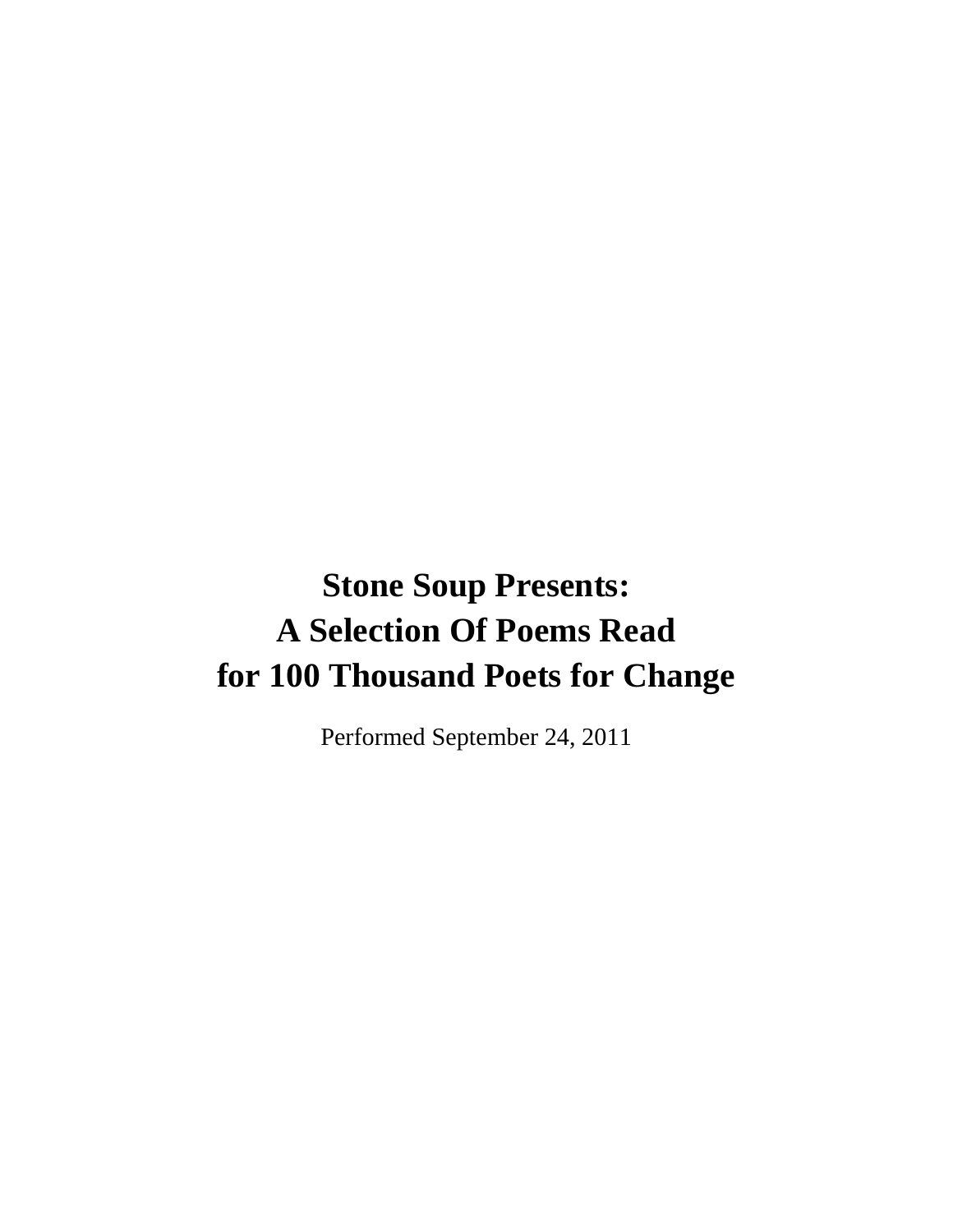# **Stone Soup Presents: A Selection Of Poems Read for 100 Thousand Poets for Change**

Performed September 24, 2011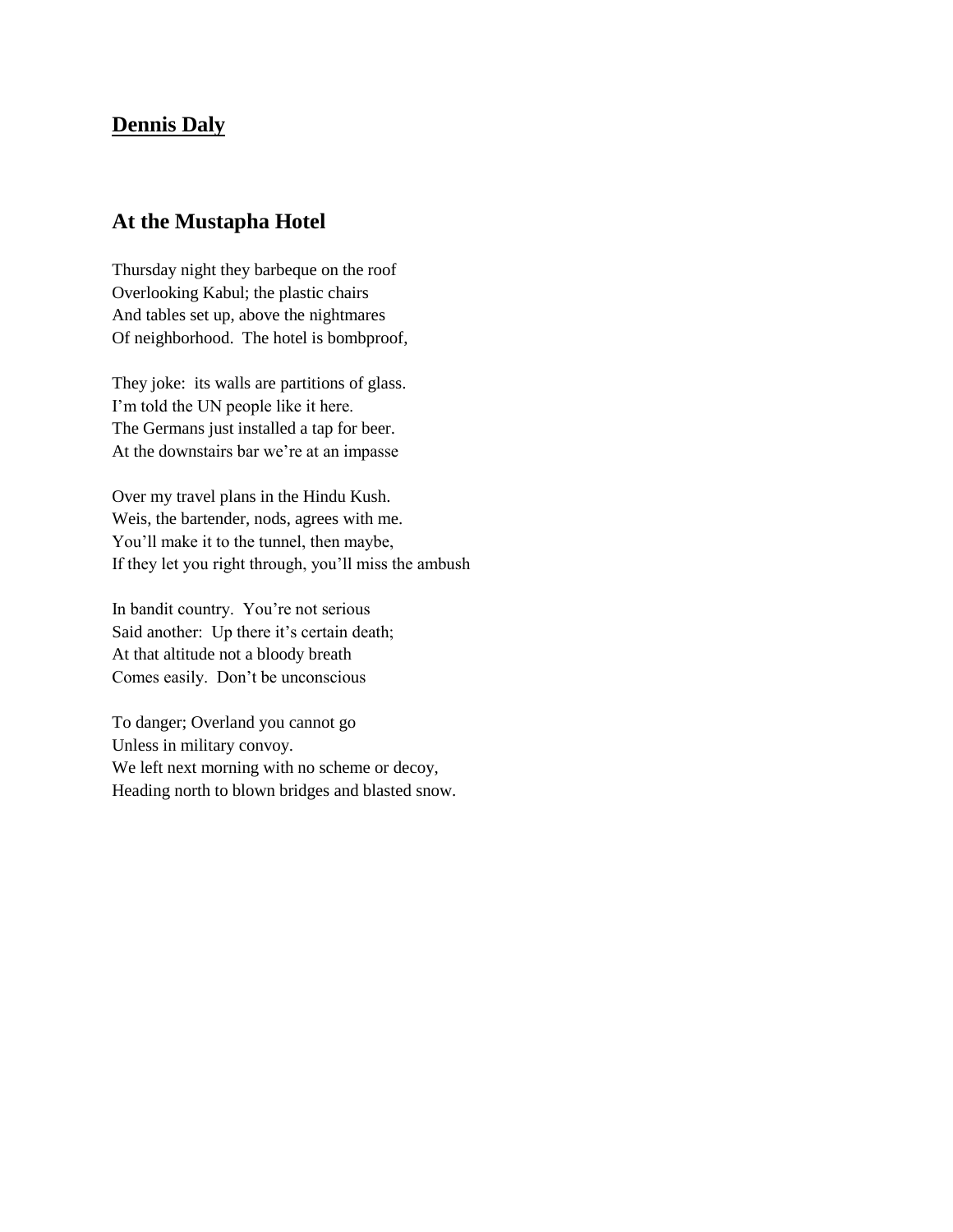#### **Dennis Daly**

#### **At the Mustapha Hotel**

Thursday night they barbeque on the roof Overlooking Kabul; the plastic chairs And tables set up, above the nightmares Of neighborhood. The hotel is bombproof,

They joke: its walls are partitions of glass. I'm told the UN people like it here. The Germans just installed a tap for beer. At the downstairs bar we're at an impasse

Over my travel plans in the Hindu Kush. Weis, the bartender, nods, agrees with me. You'll make it to the tunnel, then maybe, If they let you right through, you'll miss the ambush

In bandit country. You're not serious Said another: Up there it's certain death; At that altitude not a bloody breath Comes easily. Don't be unconscious

To danger; Overland you cannot go Unless in military convoy. We left next morning with no scheme or decoy, Heading north to blown bridges and blasted snow.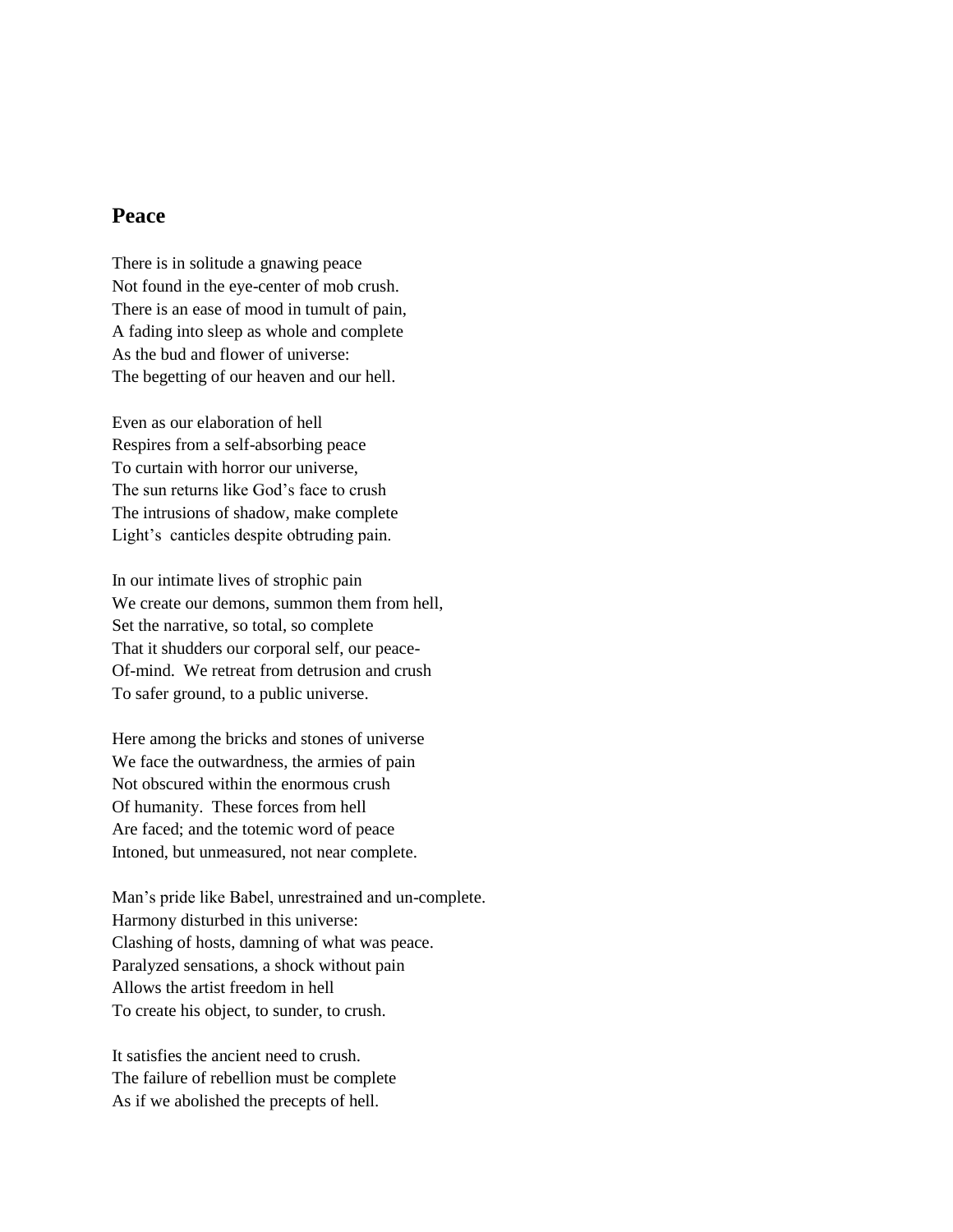#### **Peace**

There is in solitude a gnawing peace Not found in the eye-center of mob crush. There is an ease of mood in tumult of pain, A fading into sleep as whole and complete As the bud and flower of universe: The begetting of our heaven and our hell.

Even as our elaboration of hell Respires from a self-absorbing peace To curtain with horror our universe, The sun returns like God's face to crush The intrusions of shadow, make complete Light's canticles despite obtruding pain.

In our intimate lives of strophic pain We create our demons, summon them from hell, Set the narrative, so total, so complete That it shudders our corporal self, our peace-Of-mind. We retreat from detrusion and crush To safer ground, to a public universe.

Here among the bricks and stones of universe We face the outwardness, the armies of pain Not obscured within the enormous crush Of humanity. These forces from hell Are faced; and the totemic word of peace Intoned, but unmeasured, not near complete.

Man's pride like Babel, unrestrained and un-complete. Harmony disturbed in this universe: Clashing of hosts, damning of what was peace. Paralyzed sensations, a shock without pain Allows the artist freedom in hell To create his object, to sunder, to crush.

It satisfies the ancient need to crush. The failure of rebellion must be complete As if we abolished the precepts of hell.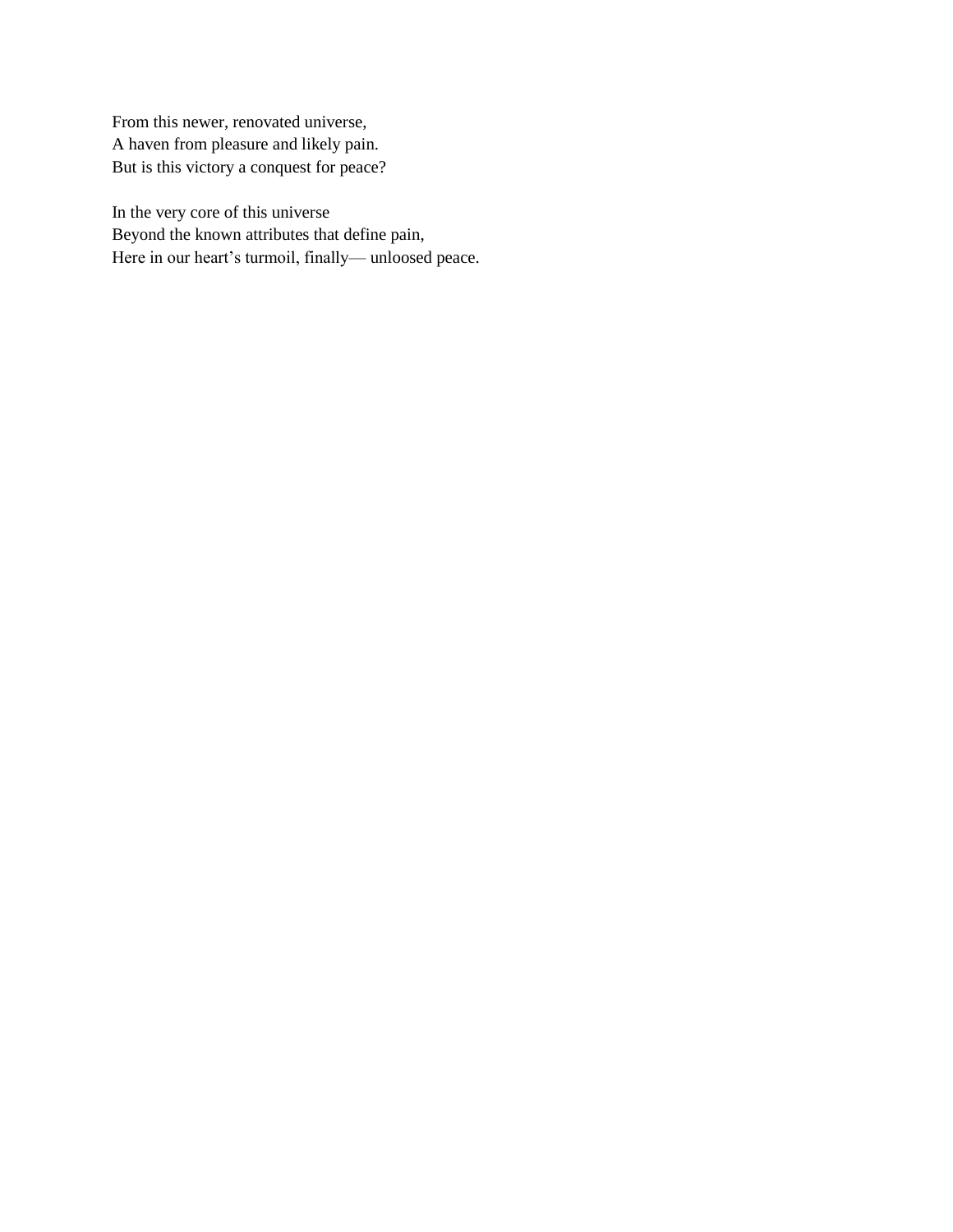From this newer, renovated universe, A haven from pleasure and likely pain. But is this victory a conquest for peace?

In the very core of this universe Beyond the known attributes that define pain, Here in our heart's turmoil, finally— unloosed peace.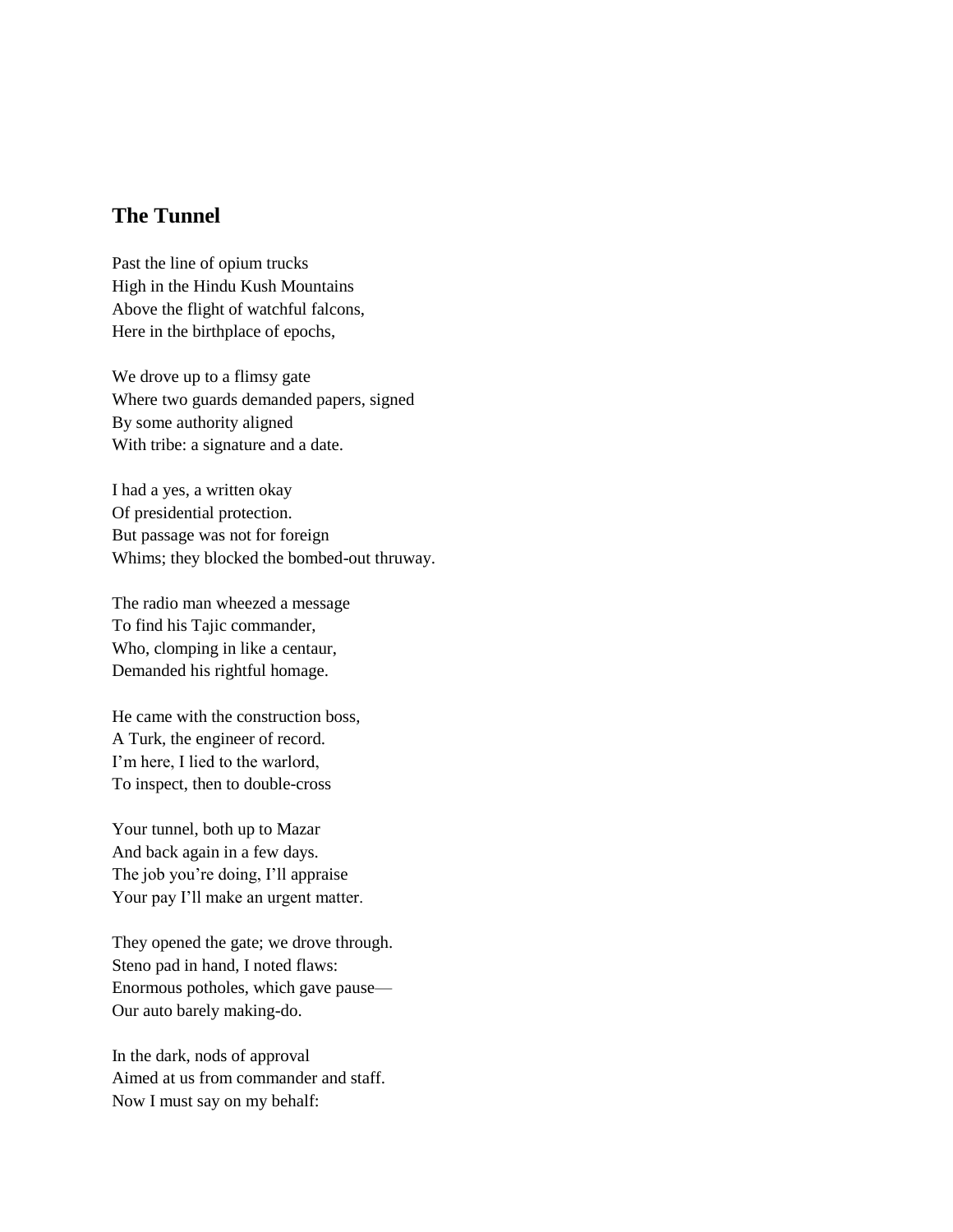# **The Tunnel**

Past the line of opium trucks High in the Hindu Kush Mountains Above the flight of watchful falcons, Here in the birthplace of epochs,

We drove up to a flimsy gate Where two guards demanded papers, signed By some authority aligned With tribe: a signature and a date.

I had a yes, a written okay Of presidential protection. But passage was not for foreign Whims; they blocked the bombed-out thruway.

The radio man wheezed a message To find his Tajic commander, Who, clomping in like a centaur, Demanded his rightful homage.

He came with the construction boss, A Turk, the engineer of record. I'm here, I lied to the warlord, To inspect, then to double-cross

Your tunnel, both up to Mazar And back again in a few days. The job you're doing, I'll appraise Your pay I'll make an urgent matter.

They opened the gate; we drove through. Steno pad in hand, I noted flaws: Enormous potholes, which gave pause— Our auto barely making-do.

In the dark, nods of approval Aimed at us from commander and staff. Now I must say on my behalf: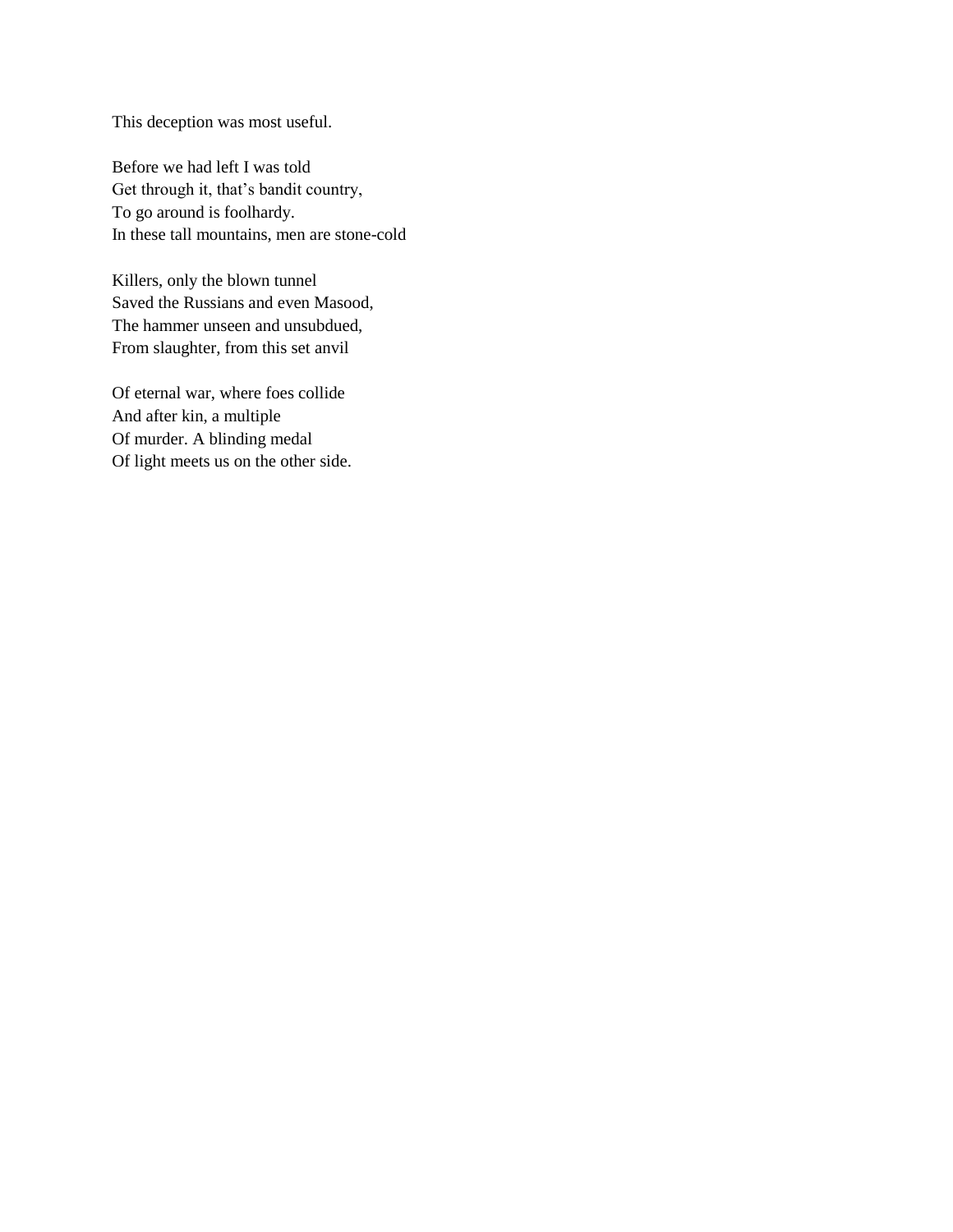This deception was most useful.

Before we had left I was told Get through it, that's bandit country, To go around is foolhardy. In these tall mountains, men are stone-cold

Killers, only the blown tunnel Saved the Russians and even Masood, The hammer unseen and unsubdued, From slaughter, from this set anvil

Of eternal war, where foes collide And after kin, a multiple Of murder. A blinding medal Of light meets us on the other side.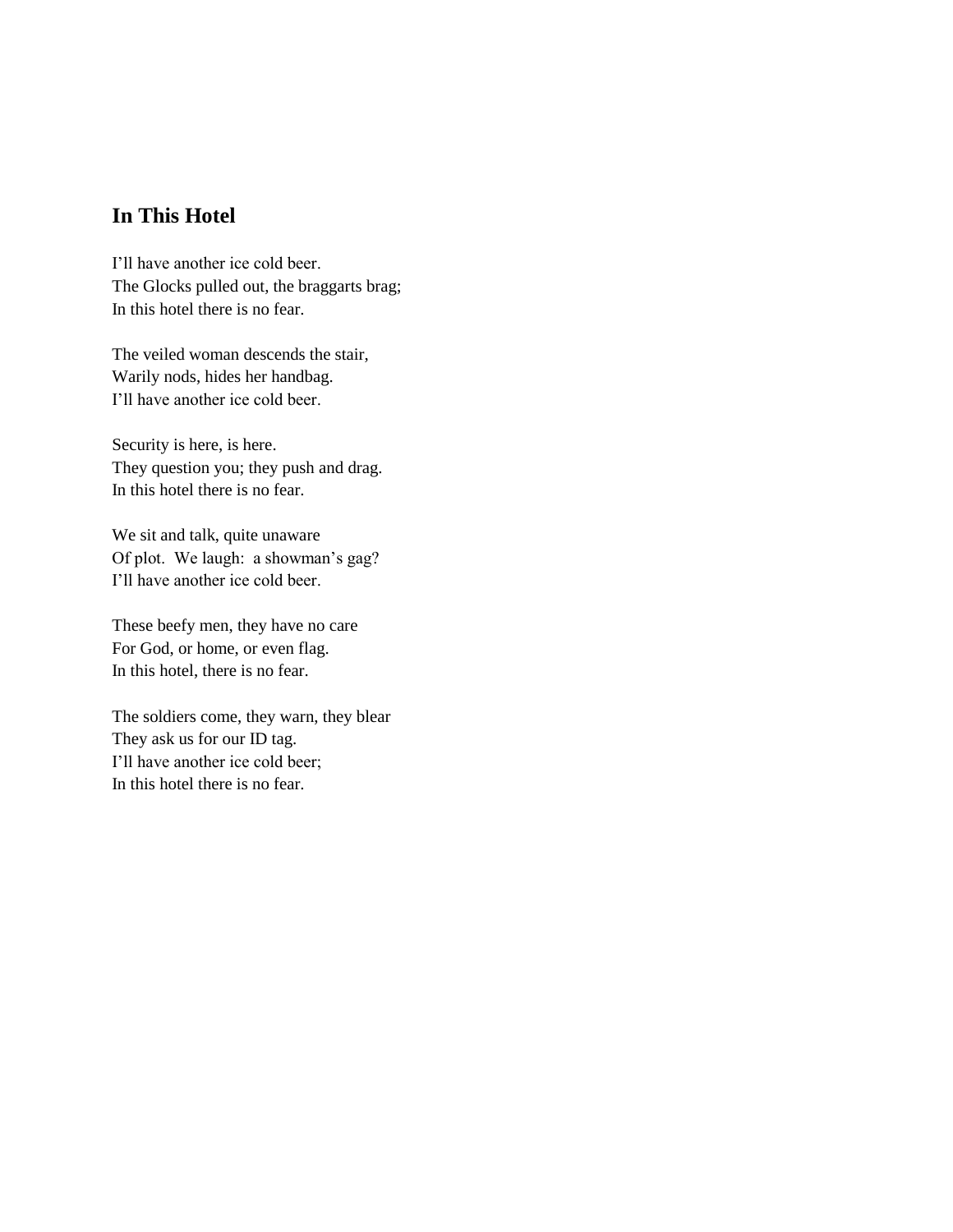# **In This Hotel**

I'll have another ice cold beer. The Glocks pulled out, the braggarts brag; In this hotel there is no fear.

The veiled woman descends the stair, Warily nods, hides her handbag. I'll have another ice cold beer.

Security is here, is here. They question you; they push and drag. In this hotel there is no fear.

We sit and talk, quite unaware Of plot. We laugh: a showman's gag? I'll have another ice cold beer.

These beefy men, they have no care For God, or home, or even flag. In this hotel, there is no fear.

The soldiers come, they warn, they blear They ask us for our ID tag. I'll have another ice cold beer; In this hotel there is no fear.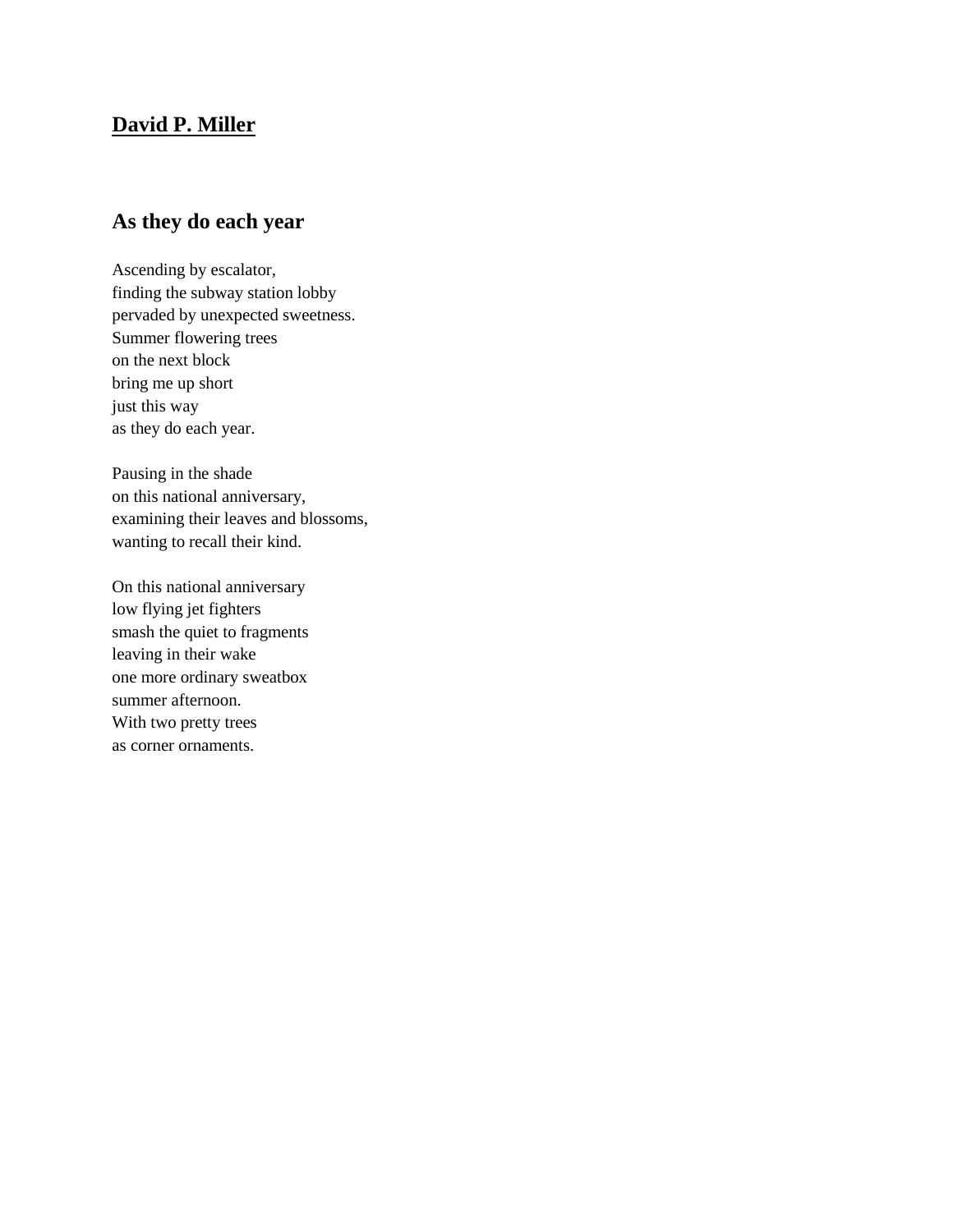## **David P. Miller**

# **As they do each year**

Ascending by escalator, finding the subway station lobby pervaded by unexpected sweetness. Summer flowering trees on the next block bring me up short just this way as they do each year.

Pausing in the shade on this national anniversary, examining their leaves and blossoms, wanting to recall their kind.

On this national anniversary low flying jet fighters smash the quiet to fragments leaving in their wake one more ordinary sweatbox summer afternoon. With two pretty trees as corner ornaments.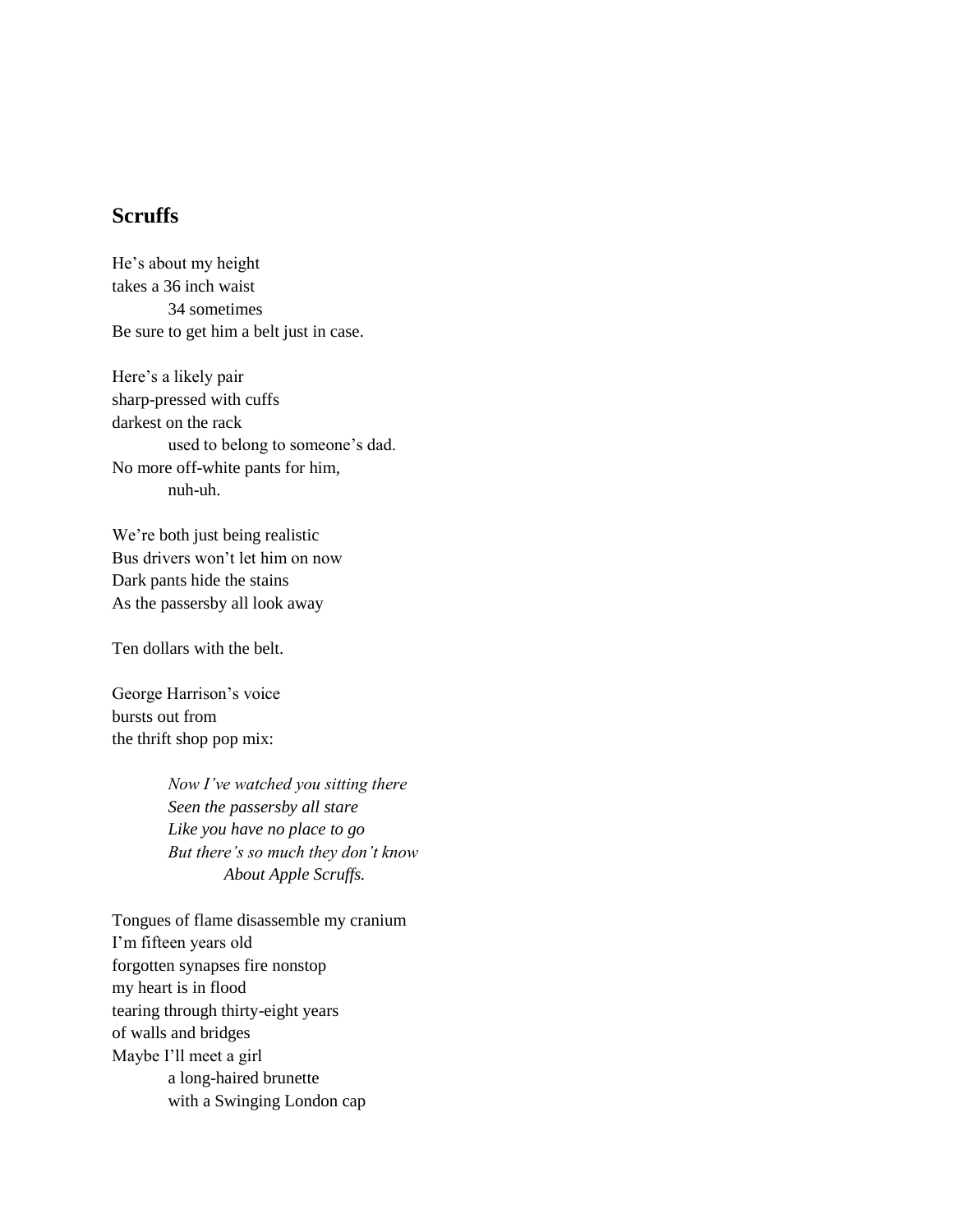# **Scruffs**

He's about my height takes a 36 inch waist 34 sometimes Be sure to get him a belt just in case.

Here's a likely pair sharp-pressed with cuffs darkest on the rack used to belong to someone's dad. No more off-white pants for him, nuh-uh.

We're both just being realistic Bus drivers won't let him on now Dark pants hide the stains As the passersby all look away

Ten dollars with the belt.

George Harrison's voice bursts out from the thrift shop pop mix:

> *Now I've watched you sitting there Seen the passersby all stare Like you have no place to go But there's so much they don't know About Apple Scruffs.*

Tongues of flame disassemble my cranium I'm fifteen years old forgotten synapses fire nonstop my heart is in flood tearing through thirty-eight years of walls and bridges Maybe I'll meet a girl a long-haired brunette with a Swinging London cap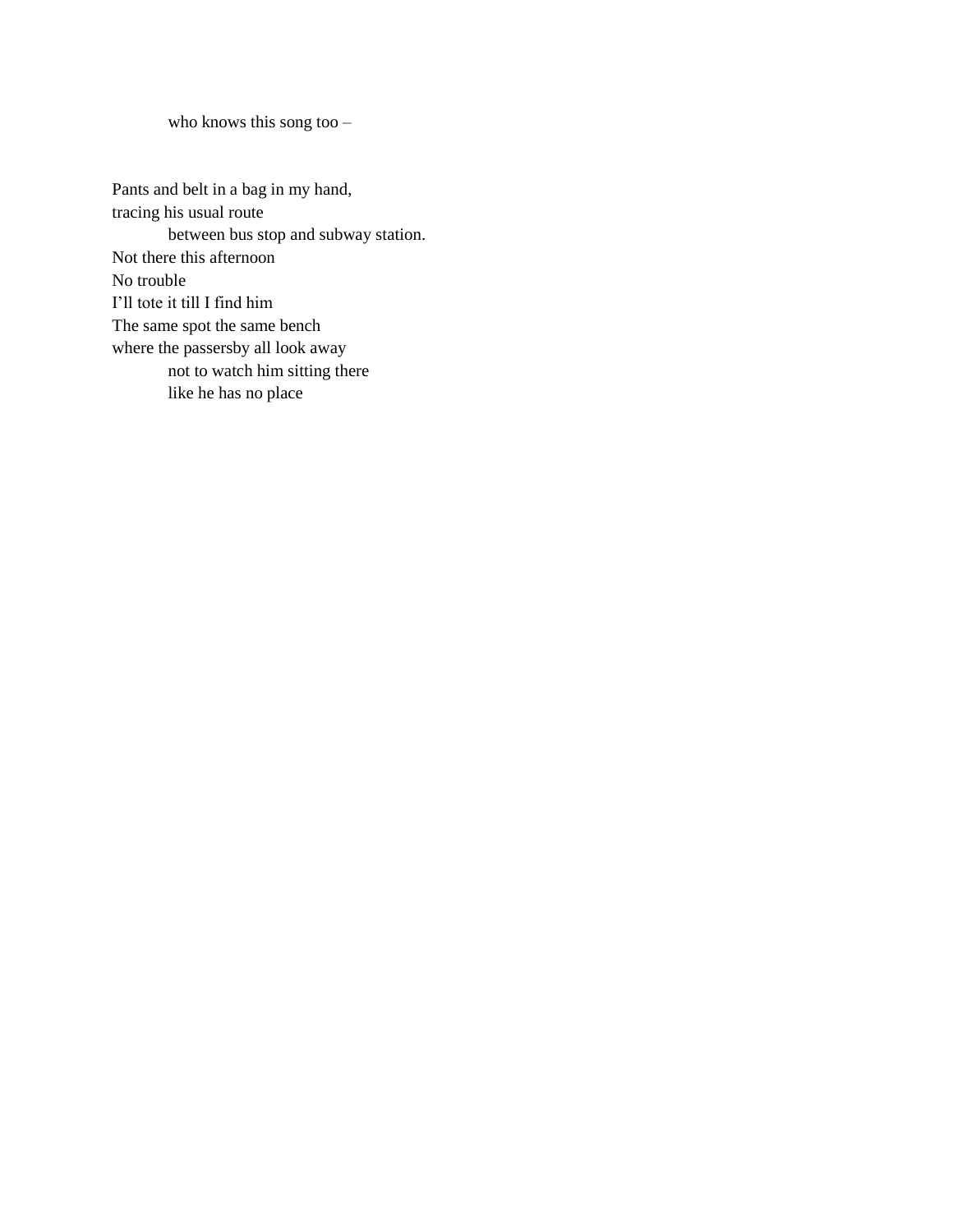who knows this song too –

Pants and belt in a bag in my hand, tracing his usual route between bus stop and subway station. Not there this afternoon No trouble I'll tote it till I find him The same spot the same bench where the passersby all look away not to watch him sitting there like he has no place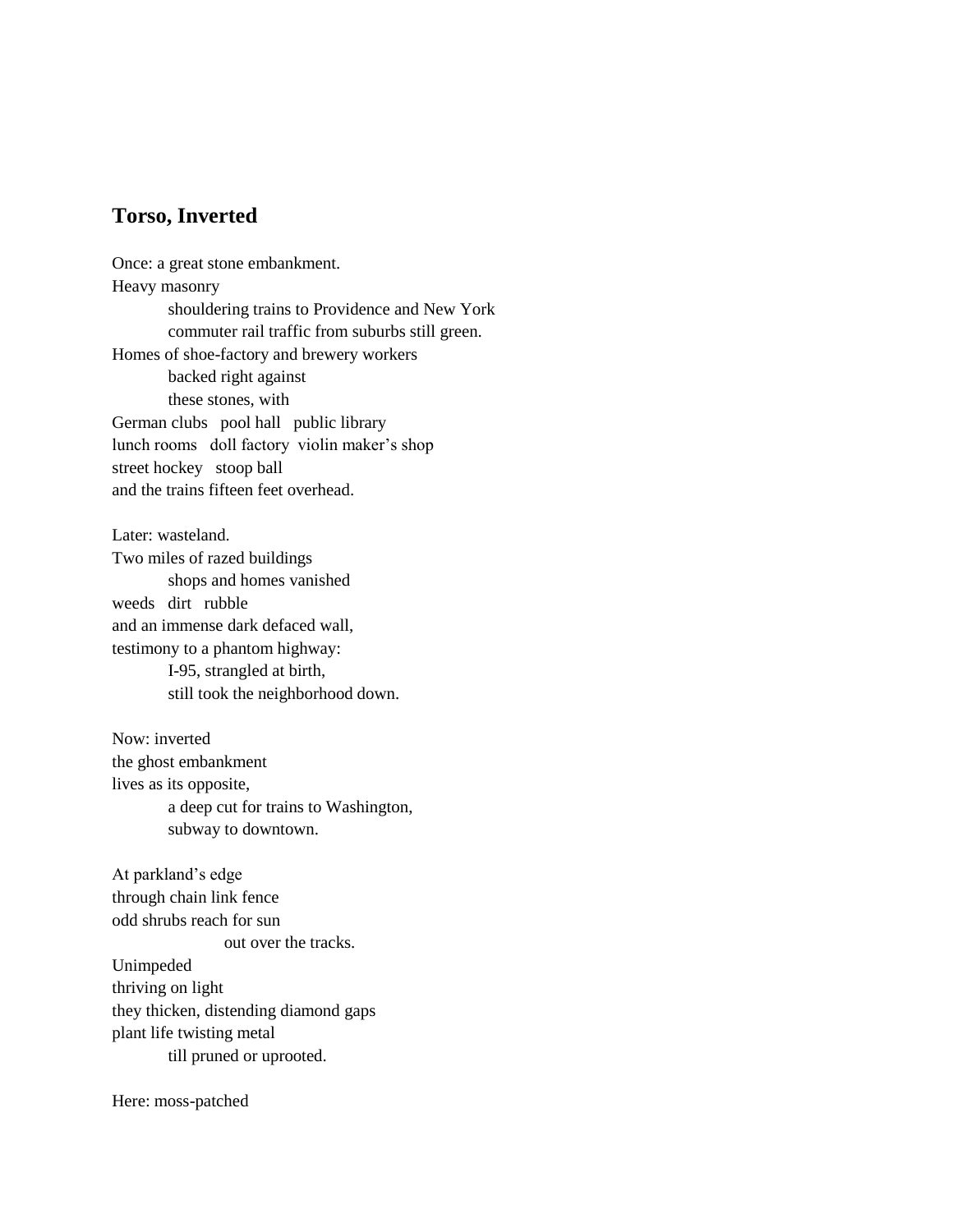## **Torso, Inverted**

Once: a great stone embankment. Heavy masonry shouldering trains to Providence and New York commuter rail traffic from suburbs still green. Homes of shoe-factory and brewery workers backed right against these stones, with German clubs pool hall public library lunch rooms doll factory violin maker's shop street hockey stoop ball and the trains fifteen feet overhead.

Later: wasteland. Two miles of razed buildings shops and homes vanished weeds dirt rubble and an immense dark defaced wall, testimony to a phantom highway: I-95, strangled at birth, still took the neighborhood down.

Now: inverted the ghost embankment lives as its opposite, a deep cut for trains to Washington, subway to downtown.

At parkland's edge through chain link fence odd shrubs reach for sun out over the tracks. Unimpeded thriving on light they thicken, distending diamond gaps plant life twisting metal till pruned or uprooted.

Here: moss-patched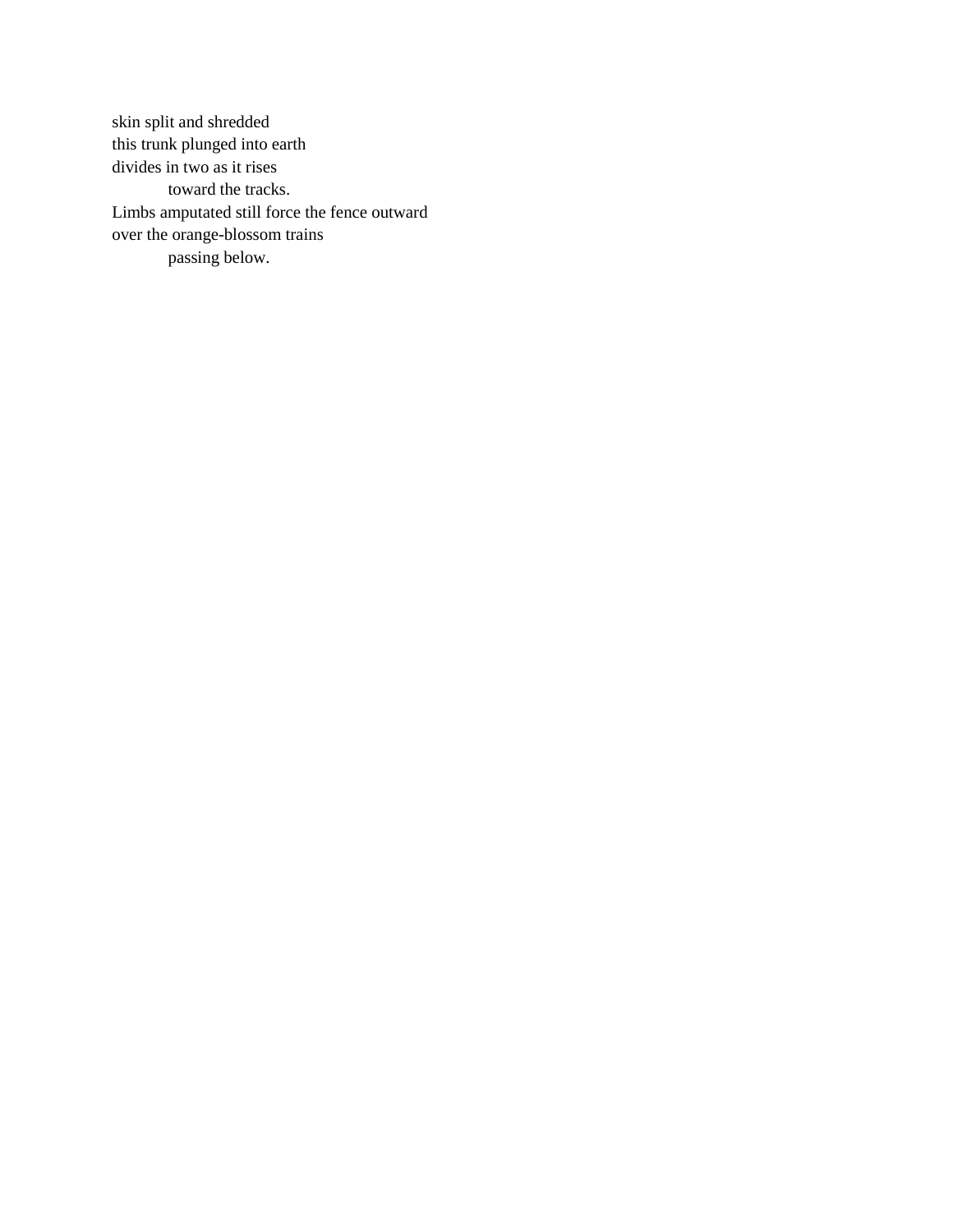skin split and shredded this trunk plunged into earth divides in two as it rises toward the tracks. Limbs amputated still force the fence outward over the orange-blossom trains passing below.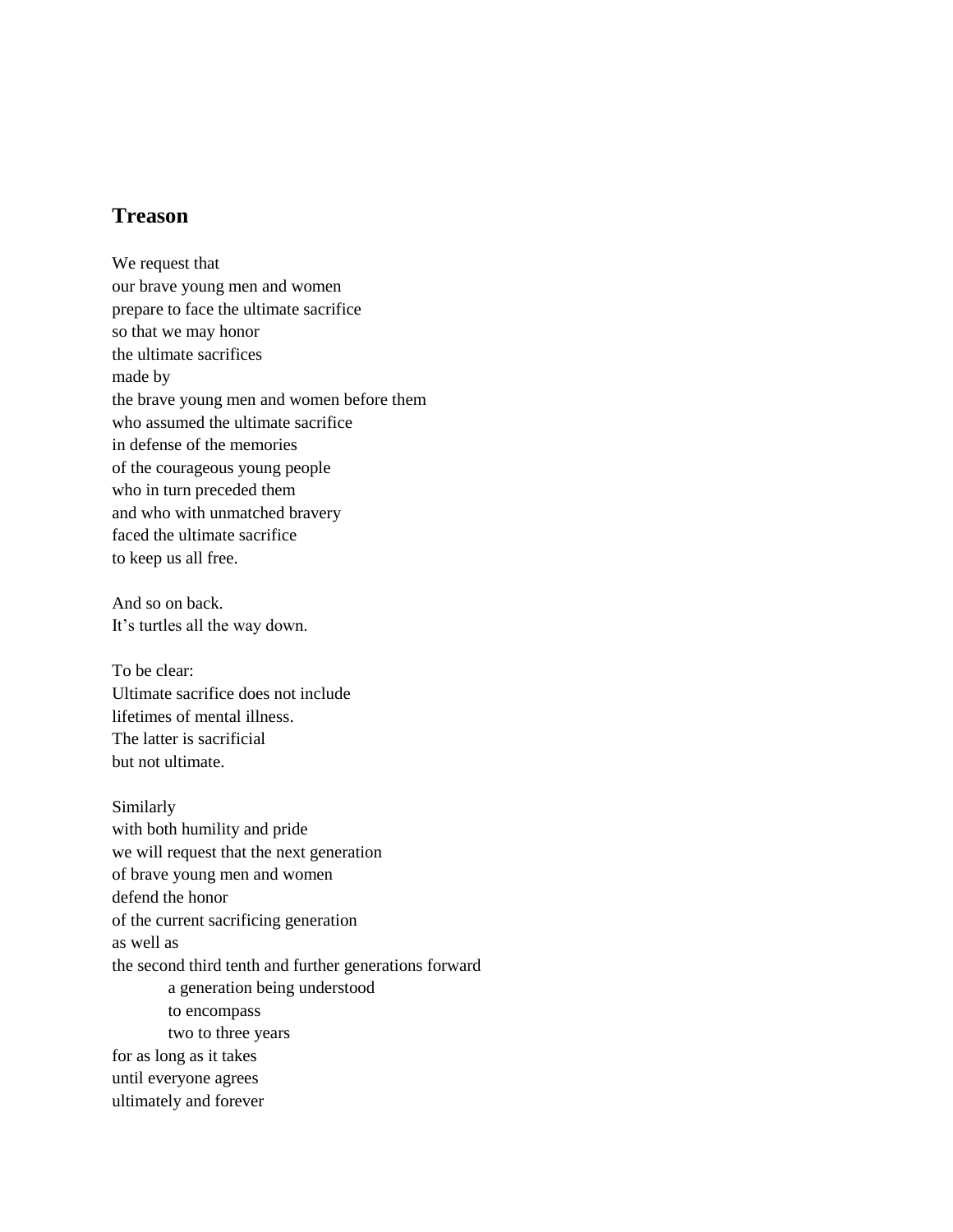# **Treason**

We request that our brave young men and women prepare to face the ultimate sacrifice so that we may honor the ultimate sacrifices made by the brave young men and women before them who assumed the ultimate sacrifice in defense of the memories of the courageous young people who in turn preceded them and who with unmatched bravery faced the ultimate sacrifice to keep us all free.

And so on back. It's turtles all the way down.

To be clear: Ultimate sacrifice does not include lifetimes of mental illness. The latter is sacrificial but not ultimate.

Similarly with both humility and pride we will request that the next generation of brave young men and women defend the honor of the current sacrificing generation as well as the second third tenth and further generations forward a generation being understood to encompass two to three years for as long as it takes until everyone agrees ultimately and forever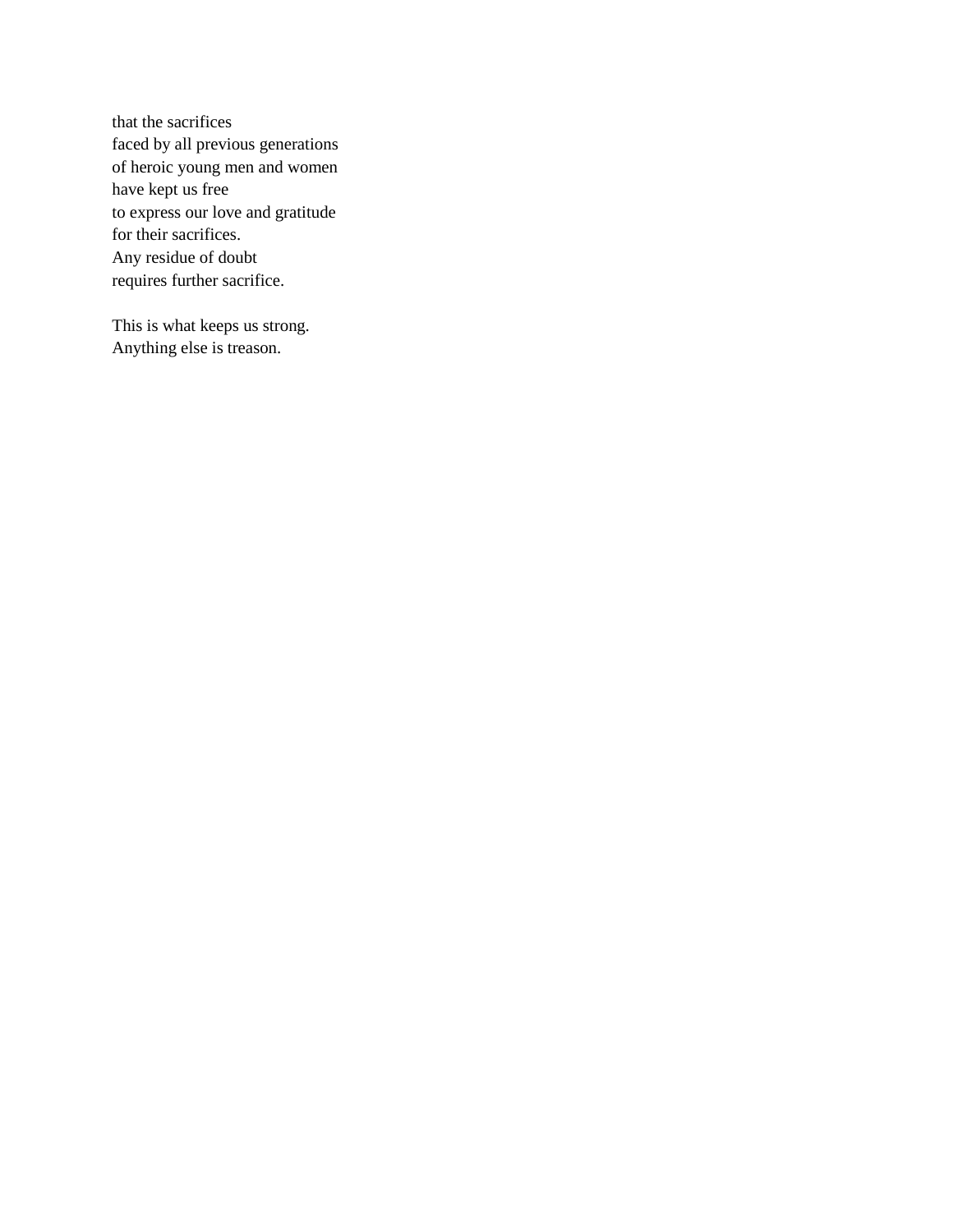that the sacrifices faced by all previous generations of heroic young men and women have kept us free to express our love and gratitude for their sacrifices. Any residue of doubt requires further sacrifice.

This is what keeps us strong. Anything else is treason.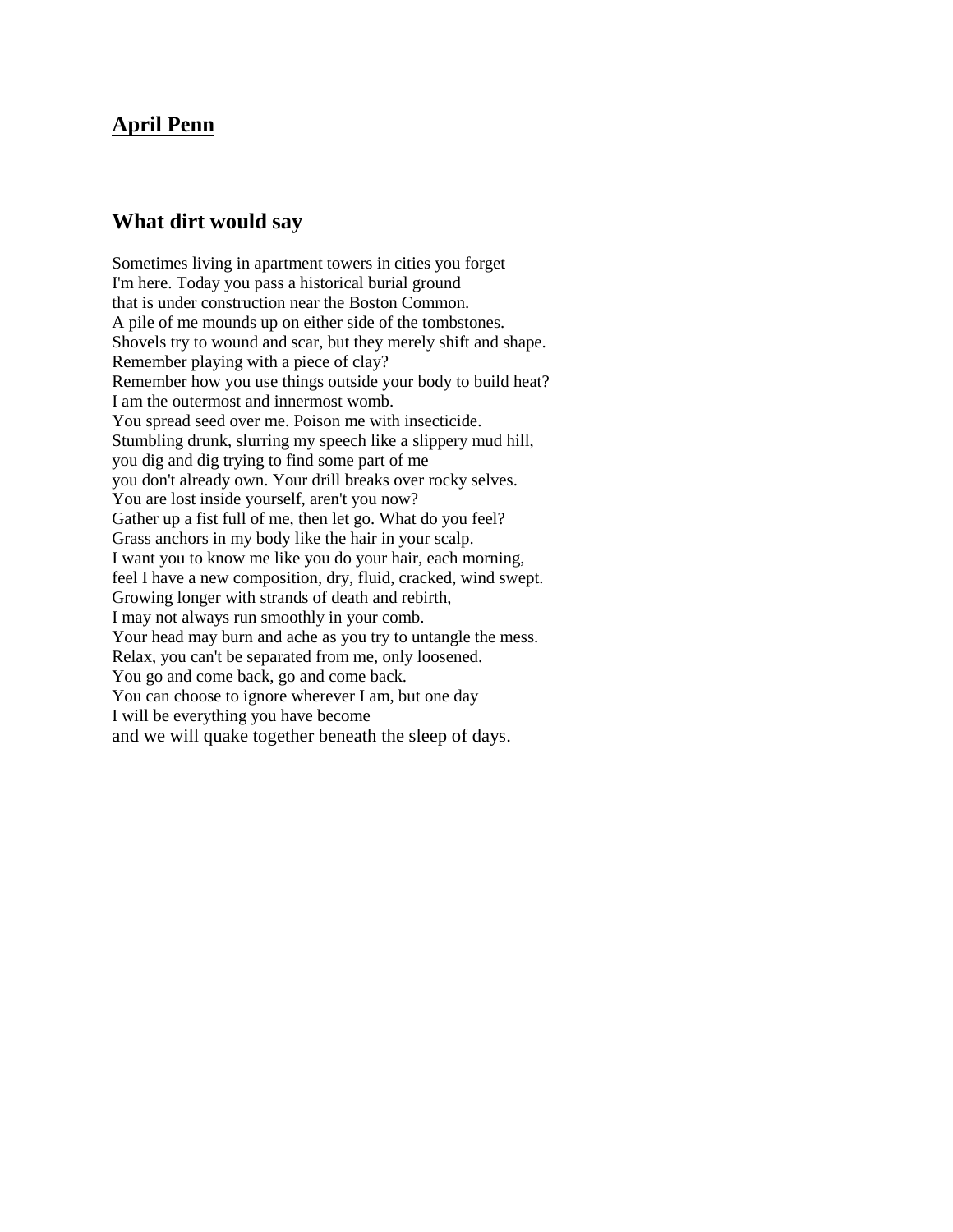#### **April Penn**

#### **What dirt would say**

Sometimes living in apartment towers in cities you forget I'm here. Today you pass a historical burial ground that is under construction near the Boston Common. A pile of me mounds up on either side of the tombstones. Shovels try to wound and scar, but they merely shift and shape. Remember playing with a piece of clay? Remember how you use things outside your body to build heat? I am the outermost and innermost womb. You spread seed over me. Poison me with insecticide. Stumbling drunk, slurring my speech like a slippery mud hill, you dig and dig trying to find some part of me you don't already own. Your drill breaks over rocky selves. You are lost inside yourself, aren't you now? Gather up a fist full of me, then let go. What do you feel? Grass anchors in my body like the hair in your scalp. I want you to know me like you do your hair, each morning, feel I have a new composition, dry, fluid, cracked, wind swept. Growing longer with strands of death and rebirth, I may not always run smoothly in your comb. Your head may burn and ache as you try to untangle the mess. Relax, you can't be separated from me, only loosened. You go and come back, go and come back. You can choose to ignore wherever I am, but one day I will be everything you have become and we will quake together beneath the sleep of days.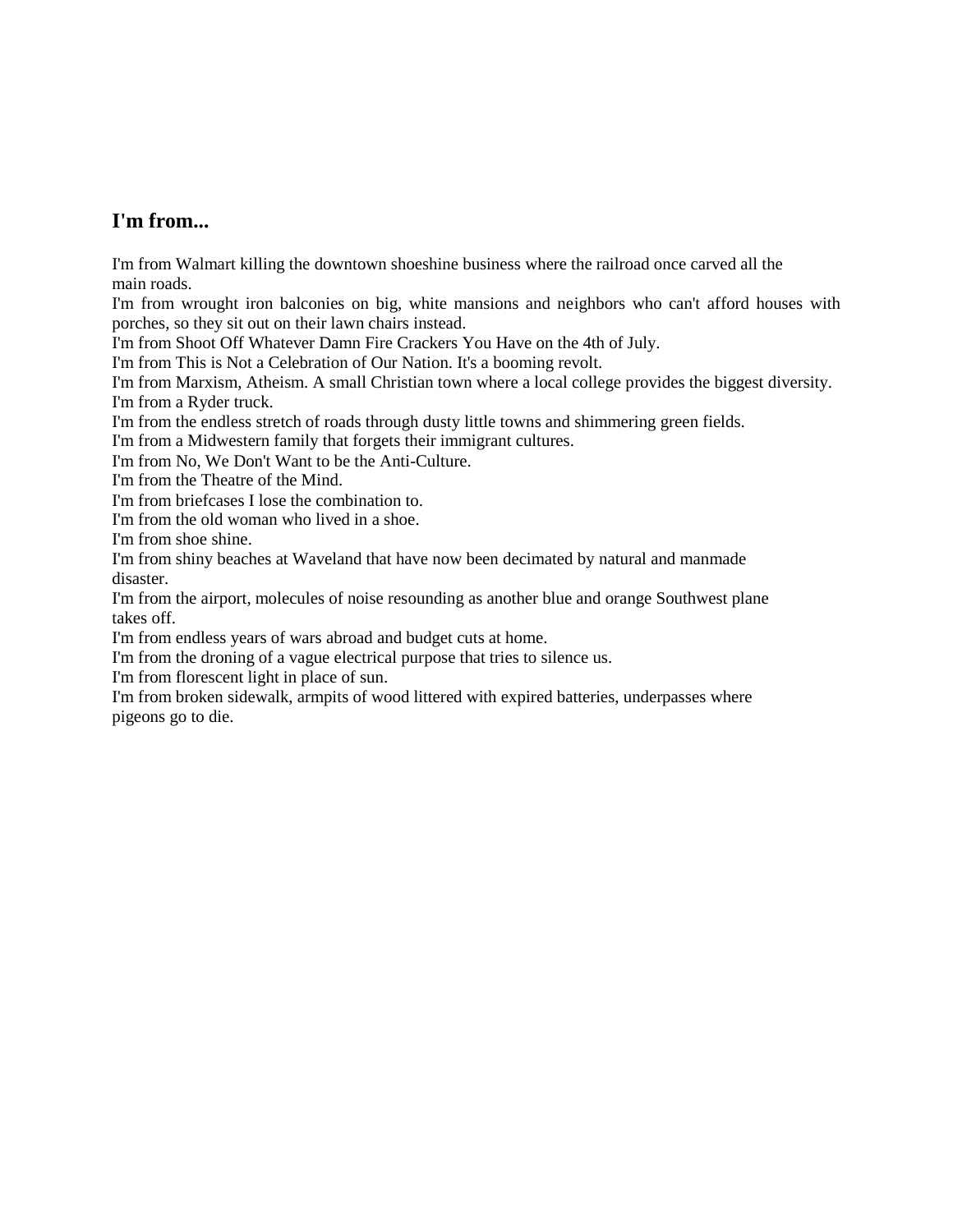#### **I'm from...**

I'm from Walmart killing the downtown shoeshine business where the railroad once carved all the main roads.

I'm from wrought iron balconies on big, white mansions and neighbors who can't afford houses with porches, so they sit out on their lawn chairs instead.

I'm from Shoot Off Whatever Damn Fire Crackers You Have on the 4th of July.

I'm from This is Not a Celebration of Our Nation. It's a booming revolt.

I'm from Marxism, Atheism. A small Christian town where a local college provides the biggest diversity. I'm from a Ryder truck.

I'm from the endless stretch of roads through dusty little towns and shimmering green fields.

I'm from a Midwestern family that forgets their immigrant cultures.

I'm from No, We Don't Want to be the Anti-Culture.

I'm from the Theatre of the Mind.

I'm from briefcases I lose the combination to.

I'm from the old woman who lived in a shoe.

I'm from shoe shine.

I'm from shiny beaches at Waveland that have now been decimated by natural and manmade disaster.

I'm from the airport, molecules of noise resounding as another blue and orange Southwest plane takes off.

I'm from endless years of wars abroad and budget cuts at home.

I'm from the droning of a vague electrical purpose that tries to silence us.

I'm from florescent light in place of sun.

I'm from broken sidewalk, armpits of wood littered with expired batteries, underpasses where pigeons go to die.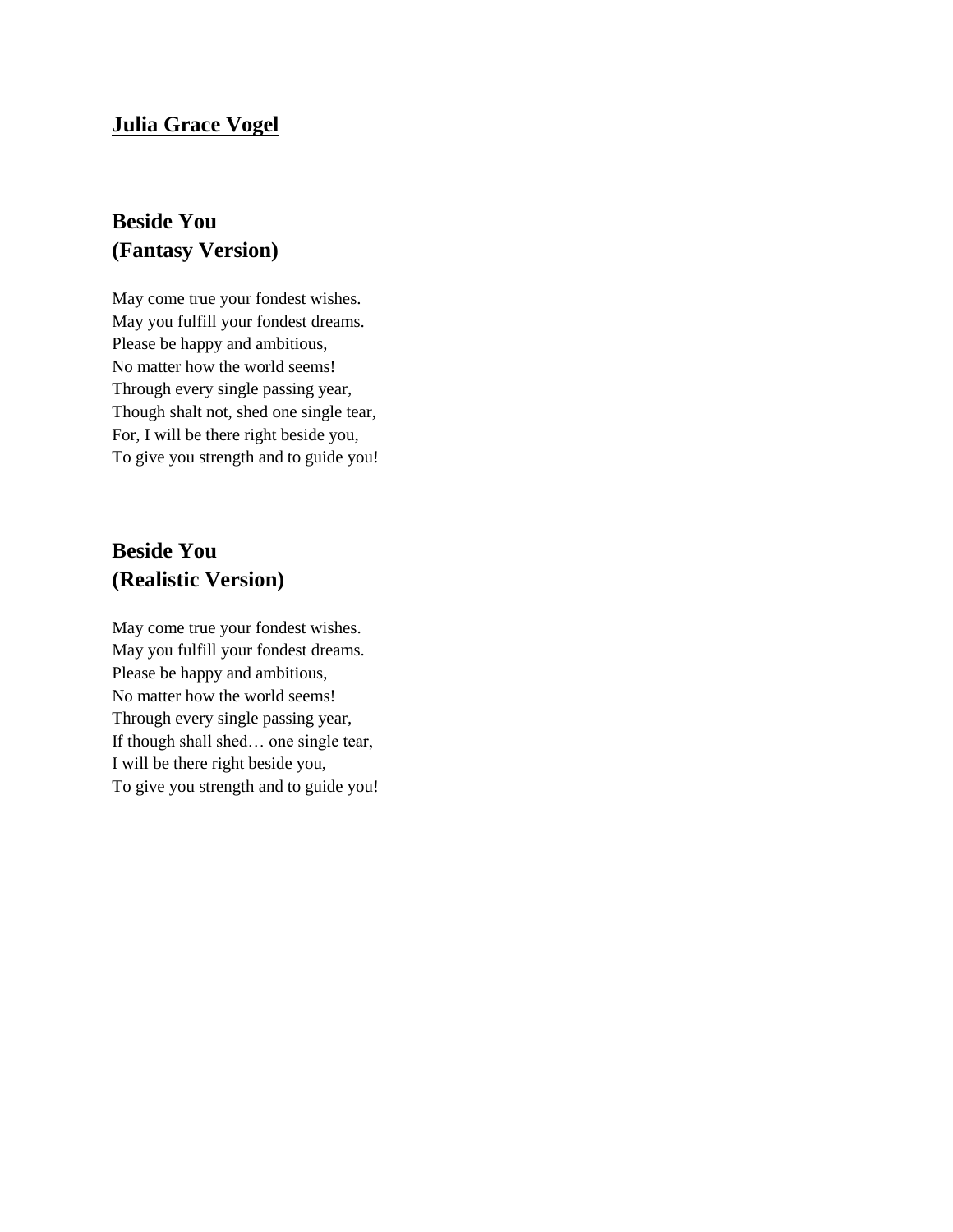## **Julia Grace Vogel**

# **Beside You (Fantasy Version)**

May come true your fondest wishes. May you fulfill your fondest dreams. Please be happy and ambitious, No matter how the world seems! Through every single passing year, Though shalt not, shed one single tear, For, I will be there right beside you, To give you strength and to guide you!

# **Beside You (Realistic Version)**

May come true your fondest wishes. May you fulfill your fondest dreams. Please be happy and ambitious, No matter how the world seems! Through every single passing year, If though shall shed… one single tear, I will be there right beside you, To give you strength and to guide you!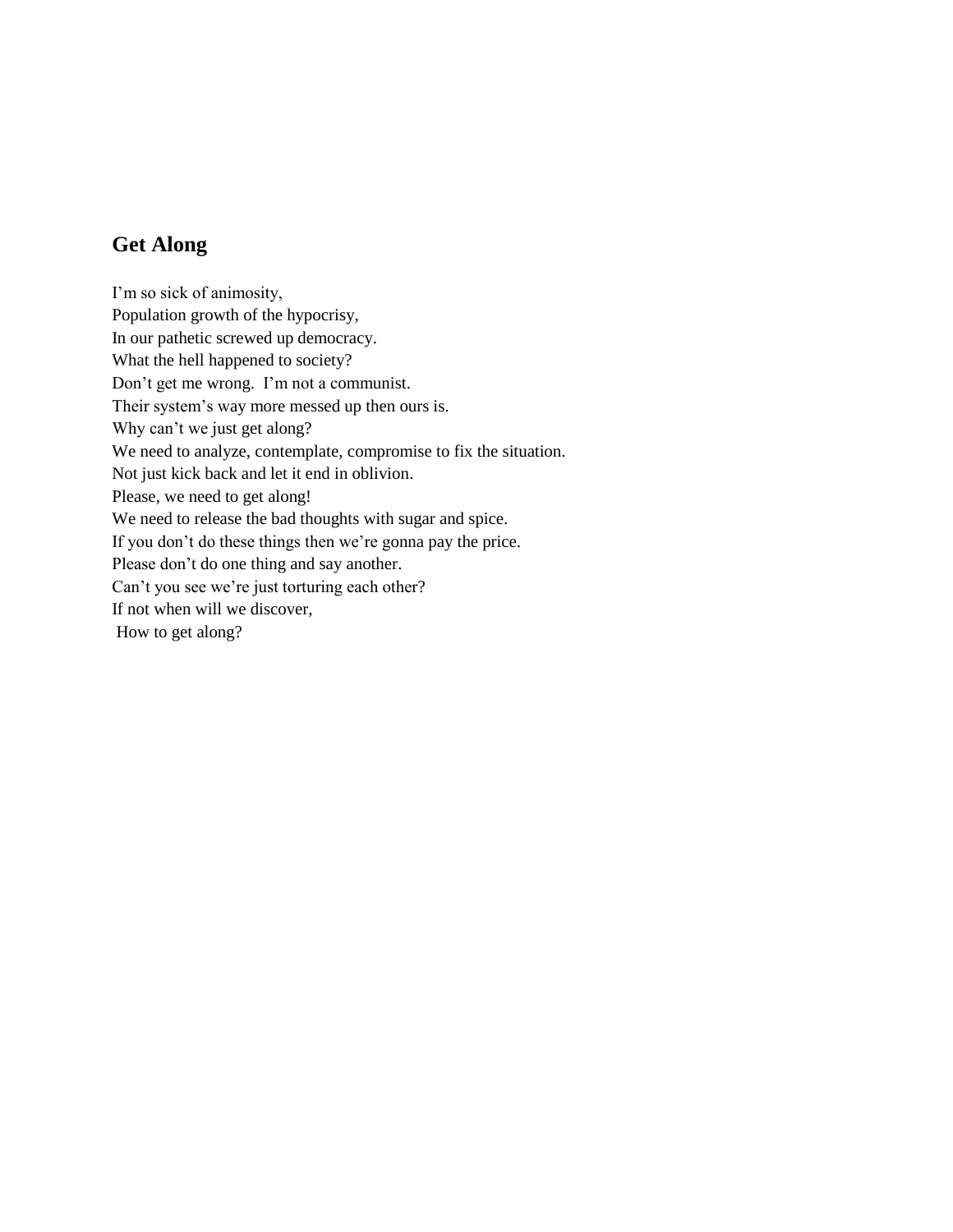# **Get Along**

I'm so sick of animosity, Population growth of the hypocrisy, In our pathetic screwed up democracy. What the hell happened to society? Don't get me wrong. I'm not a communist. Their system's way more messed up then ours is. Why can't we just get along? We need to analyze, contemplate, compromise to fix the situation. Not just kick back and let it end in oblivion. Please, we need to get along! We need to release the bad thoughts with sugar and spice. If you don't do these things then we're gonna pay the price. Please don't do one thing and say another. Can't you see we're just torturing each other? If not when will we discover, How to get along?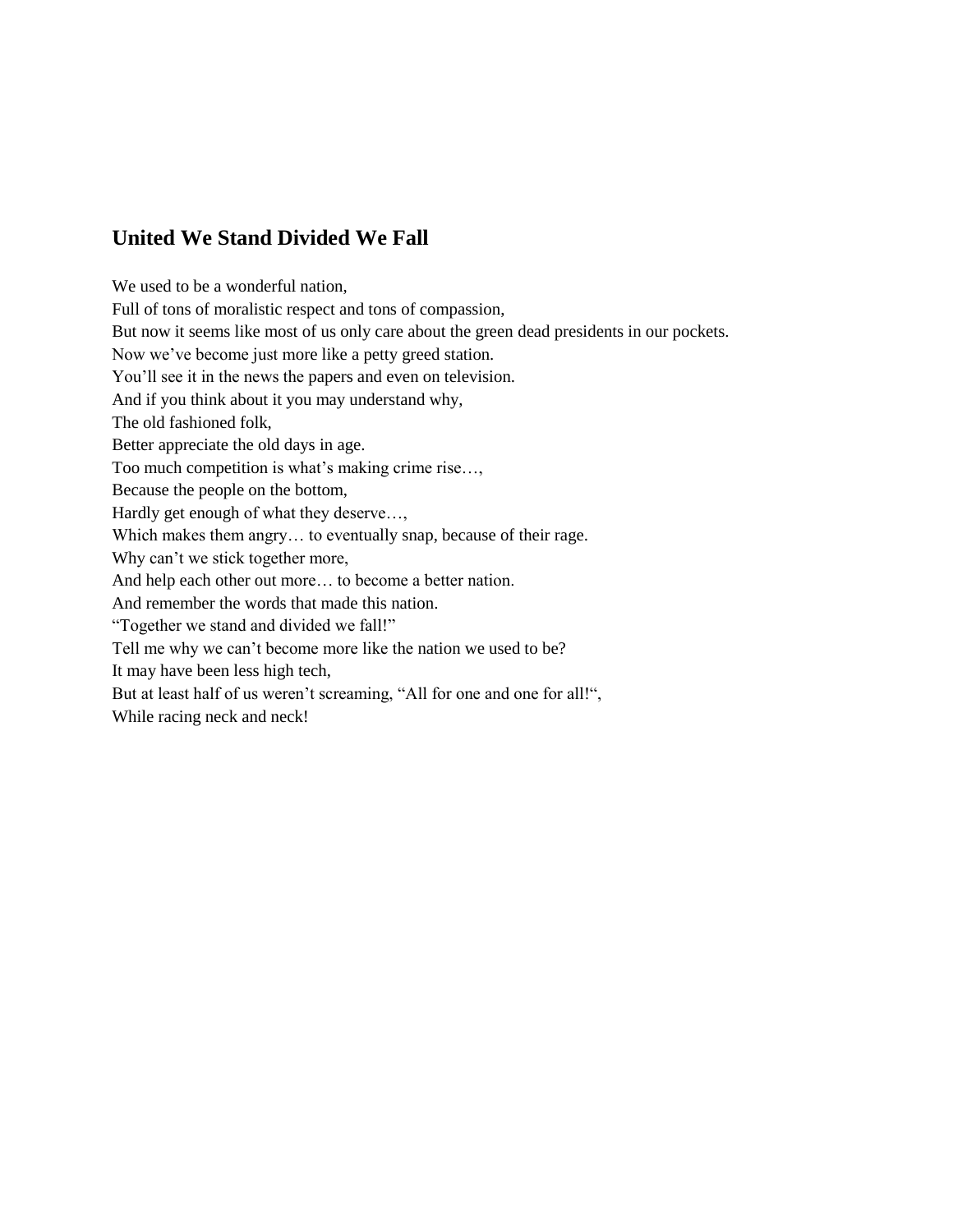# **United We Stand Divided We Fall**

We used to be a wonderful nation, Full of tons of moralistic respect and tons of compassion, But now it seems like most of us only care about the green dead presidents in our pockets. Now we've become just more like a petty greed station. You'll see it in the news the papers and even on television. And if you think about it you may understand why, The old fashioned folk, Better appreciate the old days in age. Too much competition is what's making crime rise…, Because the people on the bottom, Hardly get enough of what they deserve…, Which makes them angry… to eventually snap, because of their rage. Why can't we stick together more, And help each other out more… to become a better nation. And remember the words that made this nation. "Together we stand and divided we fall!" Tell me why we can't become more like the nation we used to be? It may have been less high tech, But at least half of us weren't screaming, "All for one and one for all!",

While racing neck and neck!